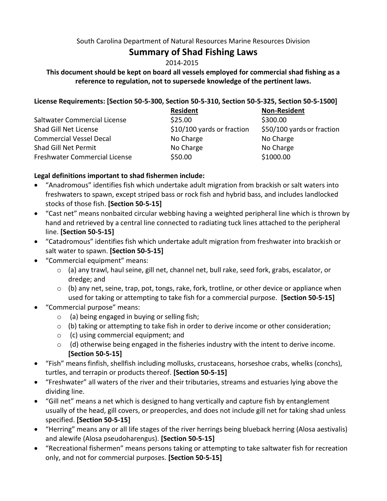#### South Carolina Department of Natural Resources Marine Resources Division

# **Summary of Shad Fishing Laws**

# 2014-2015

# **This document should be kept on board all vessels employed for commercial shad fishing as a reference to regulation, not to supersede knowledge of the pertinent laws.**

## **License Requirements: [Section 50-5-300, Section 50-5-310, Section 50-5-325, Section 50-5-1500]**

|                                      | <b>Resident</b>            | <b>Non-Resident</b>        |
|--------------------------------------|----------------------------|----------------------------|
| Saltwater Commercial License         | \$25.00                    | \$300.00                   |
| Shad Gill Net License                | \$10/100 yards or fraction | \$50/100 yards or fraction |
| <b>Commercial Vessel Decal</b>       | No Charge                  | No Charge                  |
| Shad Gill Net Permit                 | No Charge                  | No Charge                  |
| <b>Freshwater Commercial License</b> | \$50.00                    | \$1000.00                  |

# **Legal definitions important to shad fishermen include:**

- "Anadromous" identifies fish which undertake adult migration from brackish or salt waters into freshwaters to spawn, except striped bass or rock fish and hybrid bass, and includes landlocked stocks of those fish. **[Section 50-5-15]**
- "Cast net" means nonbaited circular webbing having a weighted peripheral line which is thrown by hand and retrieved by a central line connected to radiating tuck lines attached to the peripheral line. **[Section 50-5-15]**
- "Catadromous" identifies fish which undertake adult migration from freshwater into brackish or salt water to spawn. **[Section 50-5-15]**
- "Commercial equipment" means:
	- o (a) any trawl, haul seine, gill net, channel net, bull rake, seed fork, grabs, escalator, or dredge; and
	- $\circ$  (b) any net, seine, trap, pot, tongs, rake, fork, trotline, or other device or appliance when used for taking or attempting to take fish for a commercial purpose. **[Section 50-5-15]**
- "Commercial purpose" means:
	- o (a) being engaged in buying or selling fish;
	- $\circ$  (b) taking or attempting to take fish in order to derive income or other consideration;
	- o (c) using commercial equipment; and
	- o (d) otherwise being engaged in the fisheries industry with the intent to derive income. **[Section 50-5-15]**
- "Fish" means finfish, shellfish including mollusks, crustaceans, horseshoe crabs, whelks (conchs), turtles, and terrapin or products thereof. **[Section 50-5-15]**
- "Freshwater" all waters of the river and their tributaries, streams and estuaries lying above the dividing line.
- "Gill net" means a net which is designed to hang vertically and capture fish by entanglement usually of the head, gill covers, or preopercles, and does not include gill net for taking shad unless specified. **[Section 50-5-15]**
- "Herring" means any or all life stages of the river herrings being blueback herring (Alosa aestivalis) and alewife (Alosa pseudoharengus). **[Section 50-5-15]**
- "Recreational fishermen" means persons taking or attempting to take saltwater fish for recreation only, and not for commercial purposes. **[Section 50-5-15]**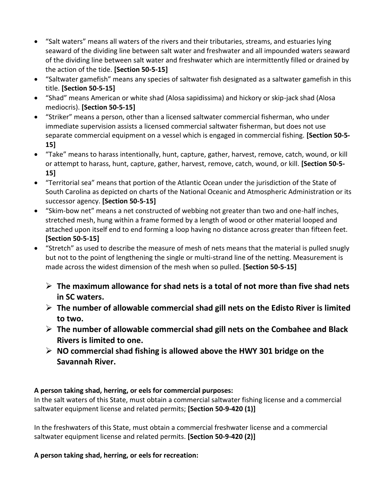- "Salt waters" means all waters of the rivers and their tributaries, streams, and estuaries lying seaward of the dividing line between salt water and freshwater and all impounded waters seaward of the dividing line between salt water and freshwater which are intermittently filled or drained by the action of the tide. **[Section 50-5-15]**
- "Saltwater gamefish" means any species of saltwater fish designated as a saltwater gamefish in this title. **[Section 50-5-15]**
- "Shad" means American or white shad (Alosa sapidissima) and hickory or skip-jack shad (Alosa mediocris). **[Section 50-5-15]**
- "Striker" means a person, other than a licensed saltwater commercial fisherman, who under immediate supervision assists a licensed commercial saltwater fisherman, but does not use separate commercial equipment on a vessel which is engaged in commercial fishing. **[Section 50-5- 15]**
- "Take" means to harass intentionally, hunt, capture, gather, harvest, remove, catch, wound, or kill or attempt to harass, hunt, capture, gather, harvest, remove, catch, wound, or kill. **[Section 50-5- 15]**
- "Territorial sea" means that portion of the Atlantic Ocean under the jurisdiction of the State of South Carolina as depicted on charts of the National Oceanic and Atmospheric Administration or its successor agency. **[Section 50-5-15]**
- "Skim-bow net" means a net constructed of webbing not greater than two and one-half inches, stretched mesh, hung within a frame formed by a length of wood or other material looped and attached upon itself end to end forming a loop having no distance across greater than fifteen feet. **[Section 50-5-15]**
- "Stretch" as used to describe the measure of mesh of nets means that the material is pulled snugly but not to the point of lengthening the single or multi-strand line of the netting. Measurement is made across the widest dimension of the mesh when so pulled. **[Section 50-5-15]**
	- **The maximum allowance for shad nets is a total of not more than five shad nets in SC waters.**
	- **The number of allowable commercial shad gill nets on the Edisto River is limited to two.**
	- **The number of allowable commercial shad gill nets on the Combahee and Black Rivers is limited to one.**
	- **NO commercial shad fishing is allowed above the HWY 301 bridge on the Savannah River.**

# **A person taking shad, herring, or eels for commercial purposes:**

In the salt waters of this State, must obtain a commercial saltwater fishing license and a commercial saltwater equipment license and related permits; **[Section 50-9-420 (1)]**

In the freshwaters of this State, must obtain a commercial freshwater license and a commercial saltwater equipment license and related permits. **[Section 50-9-420 (2)]**

**A person taking shad, herring, or eels for recreation:**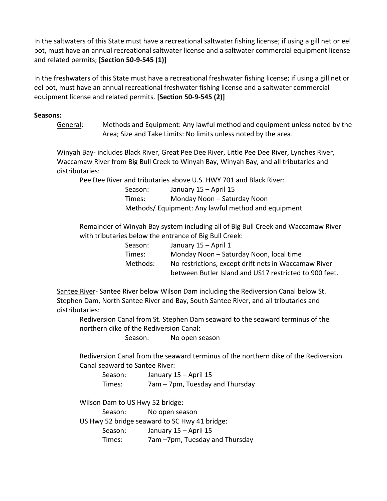In the saltwaters of this State must have a recreational saltwater fishing license; if using a gill net or eel pot, must have an annual recreational saltwater license and a saltwater commercial equipment license and related permits; **[Section 50-9-545 (1)]**

In the freshwaters of this State must have a recreational freshwater fishing license; if using a gill net or eel pot, must have an annual recreational freshwater fishing license and a saltwater commercial equipment license and related permits. **[Section 50-9-545 (2)]**

#### **Seasons:**

General: Methods and Equipment: Any lawful method and equipment unless noted by the Area; Size and Take Limits: No limits unless noted by the area.

Winyah Bay- includes Black River, Great Pee Dee River, Little Pee Dee River, Lynches River, Waccamaw River from Big Bull Creek to Winyah Bay, Winyah Bay, and all tributaries and distributaries:

Pee Dee River and tributaries above U.S. HWY 701 and Black River:

Season: January 15 – April 15 Times: Monday Noon – Saturday Noon Methods/ Equipment: Any lawful method and equipment

Remainder of Winyah Bay system including all of Big Bull Creek and Waccamaw River with tributaries below the entrance of Big Bull Creek:

| Season:  | January 15 – April 1                                   |
|----------|--------------------------------------------------------|
| Times:   | Monday Noon - Saturday Noon, local time                |
| Methods: | No restrictions, except drift nets in Waccamaw River   |
|          | between Butler Island and US17 restricted to 900 feet. |

Santee River- Santee River below Wilson Dam including the Rediversion Canal below St. Stephen Dam, North Santee River and Bay, South Santee River, and all tributaries and distributaries:

Rediversion Canal from St. Stephen Dam seaward to the seaward terminus of the northern dike of the Rediversion Canal:

Season: No open season

Rediversion Canal from the seaward terminus of the northern dike of the Rediversion Canal seaward to Santee River:

| Season: | January 15 – April 15           |
|---------|---------------------------------|
| Times:  | 7am - 7pm, Tuesday and Thursday |

Wilson Dam to US Hwy 52 bridge:

Season: No open season

US Hwy 52 bridge seaward to SC Hwy 41 bridge:

Season: January 15 – April 15

Times: 7am –7pm, Tuesday and Thursday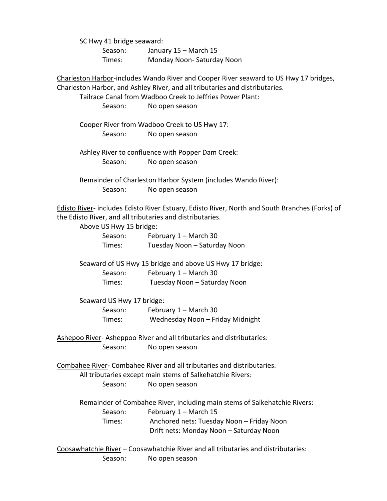SC Hwy 41 bridge seaward:

Season: January 15 – March 15 Times: Monday Noon- Saturday Noon

Charleston Harbor-includes Wando River and Cooper River seaward to US Hwy 17 bridges, Charleston Harbor, and Ashley River, and all tributaries and distributaries.

Tailrace Canal from Wadboo Creek to Jeffries Power Plant:

Season: No open season

Cooper River from Wadboo Creek to US Hwy 17: Season: No open season

Ashley River to confluence with Popper Dam Creek: Season: No open season

Remainder of Charleston Harbor System (includes Wando River): Season: No open season

Edisto River- includes Edisto River Estuary, Edisto River, North and South Branches (Forks) of the Edisto River, and all tributaries and distributaries.

| Above US Hwy 15 bridge:   |                                                                           |
|---------------------------|---------------------------------------------------------------------------|
| Season:                   | February 1 – March 30                                                     |
| Times:                    | Tuesday Noon - Saturday Noon                                              |
|                           | Seaward of US Hwy 15 bridge and above US Hwy 17 bridge:                   |
| Season:                   | February 1 - March 30                                                     |
| Times:                    | Tuesday Noon - Saturday Noon                                              |
| Seaward US Hwy 17 bridge: |                                                                           |
| Season:                   | February 1 - March 30                                                     |
| Times:                    | Wednesday Noon - Friday Midnight                                          |
|                           | Ashepoo River-Asheppoo River and all tributaries and distributaries:      |
| Season:                   | No open season                                                            |
|                           | Combahee River-Combahee River and all tributaries and distributaries.     |
|                           | All tributaries except main stems of Salkehatchie Rivers:                 |
| Season:                   | No open season                                                            |
|                           | Remainder of Combahee River, including main stems of Salkehatchie Rivers: |
| Season:                   | February 1 - March 15                                                     |
| Times:                    | Anchored nets: Tuesday Noon - Friday Noon                                 |
|                           | Drift nets: Monday Noon - Saturday Noon                                   |

Coosawhatchie River – Coosawhatchie River and all tributaries and distributaries: Season: No open season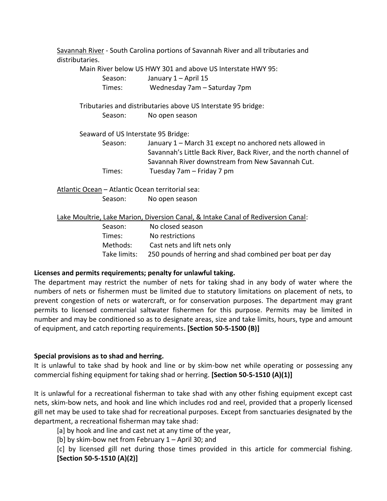Savannah River - South Carolina portions of Savannah River and all tributaries and distributaries.

Main River below US HWY 301 and above US Interstate HWY 95:

Season: January 1 – April 15 Times: Wednesday 7am – Saturday 7pm

Tributaries and distributaries above US Interstate 95 bridge: Season: No open season

Seaward of US Interstate 95 Bridge:

Season: January 1 – March 31 except no anchored nets allowed in Savannah's Little Back River, Back River, and the north channel of Savannah River downstream from New Savannah Cut. Times: Tuesday 7am – Friday 7 pm

Atlantic Ocean – Atlantic Ocean territorial sea: Season: No open season

Lake Moultrie, Lake Marion, Diversion Canal, & Intake Canal of Rediversion Canal:

| Season:      | No closed season                                         |
|--------------|----------------------------------------------------------|
| Times:       | No restrictions                                          |
| Methods:     | Cast nets and lift nets only                             |
| Take limits: | 250 pounds of herring and shad combined per boat per day |

## **Licenses and permits requirements; penalty for unlawful taking.**

The department may restrict the number of nets for taking shad in any body of water where the numbers of nets or fishermen must be limited due to statutory limitations on placement of nets, to prevent congestion of nets or watercraft, or for conservation purposes. The department may grant permits to licensed commercial saltwater fishermen for this purpose. Permits may be limited in number and may be conditioned so as to designate areas, size and take limits, hours, type and amount of equipment, and catch reporting requirements**. [Section 50-5-1500 (B)]**

## **Special provisions as to shad and herring.**

It is unlawful to take shad by hook and line or by skim-bow net while operating or possessing any commercial fishing equipment for taking shad or herring. **[Section 50-5-1510 (A)(1)]**

It is unlawful for a recreational fisherman to take shad with any other fishing equipment except cast nets, skim-bow nets, and hook and line which includes rod and reel, provided that a properly licensed gill net may be used to take shad for recreational purposes. Except from sanctuaries designated by the department, a recreational fisherman may take shad:

[a] by hook and line and cast net at any time of the year,

[b] by skim-bow net from February 1 – April 30; and

[c] by licensed gill net during those times provided in this article for commercial fishing. **[Section 50-5-1510 (A)(2)]**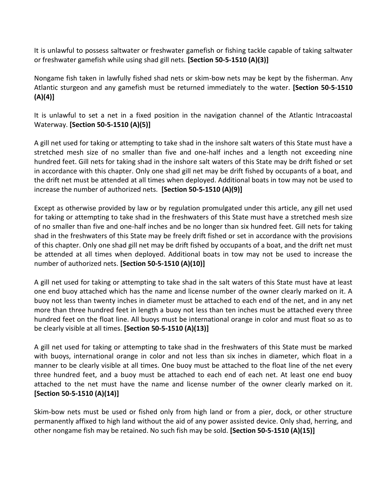It is unlawful to possess saltwater or freshwater gamefish or fishing tackle capable of taking saltwater or freshwater gamefish while using shad gill nets. **[Section 50-5-1510 (A)(3)]**

Nongame fish taken in lawfully fished shad nets or skim-bow nets may be kept by the fisherman. Any Atlantic sturgeon and any gamefish must be returned immediately to the water. **[Section 50-5-1510 (A)(4)]**

It is unlawful to set a net in a fixed position in the navigation channel of the Atlantic Intracoastal Waterway. **[Section 50-5-1510 (A)(5)]**

A gill net used for taking or attempting to take shad in the inshore salt waters of this State must have a stretched mesh size of no smaller than five and one-half inches and a length not exceeding nine hundred feet. Gill nets for taking shad in the inshore salt waters of this State may be drift fished or set in accordance with this chapter. Only one shad gill net may be drift fished by occupants of a boat, and the drift net must be attended at all times when deployed. Additional boats in tow may not be used to increase the number of authorized nets. **[Section 50-5-1510 (A)(9)]**

Except as otherwise provided by law or by regulation promulgated under this article, any gill net used for taking or attempting to take shad in the freshwaters of this State must have a stretched mesh size of no smaller than five and one-half inches and be no longer than six hundred feet. Gill nets for taking shad in the freshwaters of this State may be freely drift fished or set in accordance with the provisions of this chapter. Only one shad gill net may be drift fished by occupants of a boat, and the drift net must be attended at all times when deployed. Additional boats in tow may not be used to increase the number of authorized nets. **[Section 50-5-1510 (A)(10)]**

A gill net used for taking or attempting to take shad in the salt waters of this State must have at least one end buoy attached which has the name and license number of the owner clearly marked on it. A buoy not less than twenty inches in diameter must be attached to each end of the net, and in any net more than three hundred feet in length a buoy not less than ten inches must be attached every three hundred feet on the float line. All buoys must be international orange in color and must float so as to be clearly visible at all times. **[Section 50-5-1510 (A)(13)]**

A gill net used for taking or attempting to take shad in the freshwaters of this State must be marked with buoys, international orange in color and not less than six inches in diameter, which float in a manner to be clearly visible at all times. One buoy must be attached to the float line of the net every three hundred feet, and a buoy must be attached to each end of each net. At least one end buoy attached to the net must have the name and license number of the owner clearly marked on it. **[Section 50-5-1510 (A)(14)]**

Skim-bow nets must be used or fished only from high land or from a pier, dock, or other structure permanently affixed to high land without the aid of any power assisted device. Only shad, herring, and other nongame fish may be retained. No such fish may be sold. **[Section 50-5-1510 (A)(15)]**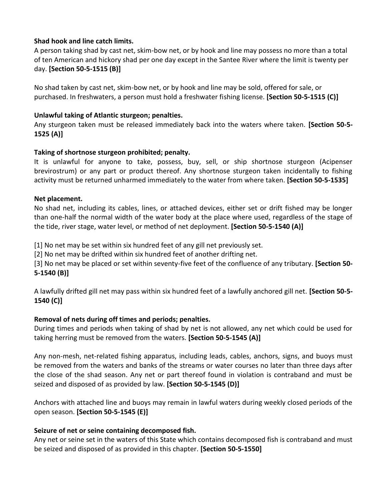## **Shad hook and line catch limits.**

A person taking shad by cast net, skim-bow net, or by hook and line may possess no more than a total of ten American and hickory shad per one day except in the Santee River where the limit is twenty per day. **[Section 50-5-1515 (B)]**

No shad taken by cast net, skim-bow net, or by hook and line may be sold, offered for sale, or purchased. In freshwaters, a person must hold a freshwater fishing license. **[Section 50-5-1515 (C)]**

#### **Unlawful taking of Atlantic sturgeon; penalties.**

Any sturgeon taken must be released immediately back into the waters where taken. **[Section 50-5- 1525 (A)]**

#### **Taking of shortnose sturgeon prohibited; penalty.**

It is unlawful for anyone to take, possess, buy, sell, or ship shortnose sturgeon (Acipenser brevirostrum) or any part or product thereof. Any shortnose sturgeon taken incidentally to fishing activity must be returned unharmed immediately to the water from where taken. **[Section 50-5-1535]**

#### **Net placement.**

No shad net, including its cables, lines, or attached devices, either set or drift fished may be longer than one-half the normal width of the water body at the place where used, regardless of the stage of the tide, river stage, water level, or method of net deployment. **[Section 50-5-1540 (A)]**

[1] No net may be set within six hundred feet of any gill net previously set.

[2] No net may be drifted within six hundred feet of another drifting net.

[3] No net may be placed or set within seventy-five feet of the confluence of any tributary. **[Section 50- 5-1540 (B)]**

A lawfully drifted gill net may pass within six hundred feet of a lawfully anchored gill net. **[Section 50-5- 1540 (C)]**

## **Removal of nets during off times and periods; penalties.**

During times and periods when taking of shad by net is not allowed, any net which could be used for taking herring must be removed from the waters. **[Section 50-5-1545 (A)]**

Any non-mesh, net-related fishing apparatus, including leads, cables, anchors, signs, and buoys must be removed from the waters and banks of the streams or water courses no later than three days after the close of the shad season. Any net or part thereof found in violation is contraband and must be seized and disposed of as provided by law. **[Section 50-5-1545 (D)]**

Anchors with attached line and buoys may remain in lawful waters during weekly closed periods of the open season. **[Section 50-5-1545 (E)]**

#### **Seizure of net or seine containing decomposed fish.**

Any net or seine set in the waters of this State which contains decomposed fish is contraband and must be seized and disposed of as provided in this chapter. **[Section 50-5-1550]**